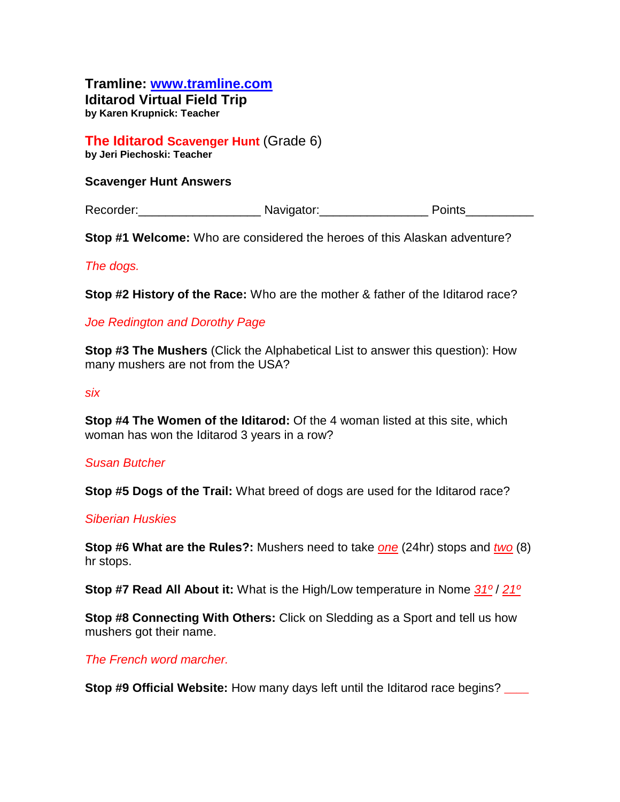# **Tramline: www.tramline.com**

**Iditarod Virtual Field Trip by Karen Krupnick: Teacher**

#### **The Iditarod Scavenger Hunt** (Grade 6) **by Jeri Piechoski: Teacher**

### **Scavenger Hunt Answers**

Recorder: The Cordering Navigator: The Points Points

**Stop #1 Welcome:** Who are considered the heroes of this Alaskan adventure?

## *The dogs.*

**Stop #2 History of the Race:** Who are the mother & father of the Iditarod race?

# *Joe Redington and Dorothy Page*

**Stop #3 The Mushers** (Click the Alphabetical List to answer this question): How many mushers are not from the USA?

#### *six*

**Stop #4 The Women of the Iditarod:** Of the 4 woman listed at this site, which woman has won the Iditarod 3 years in a row?

#### *Susan Butcher*

**Stop #5 Dogs of the Trail:** What breed of dogs are used for the Iditarod race?

#### *Siberian Huskies*

**Stop #6 What are the Rules?:** Mushers need to take *one* (24hr) stops and *two* (8) hr stops.

**Stop #7 Read All About it:** What is the High/Low temperature in Nome *31º* / *21º*

**Stop #8 Connecting With Others:** Click on Sledding as a Sport and tell us how mushers got their name.

# *The French word marcher.*

**Stop #9 Official Website:** How many days left until the Iditarod race begins?